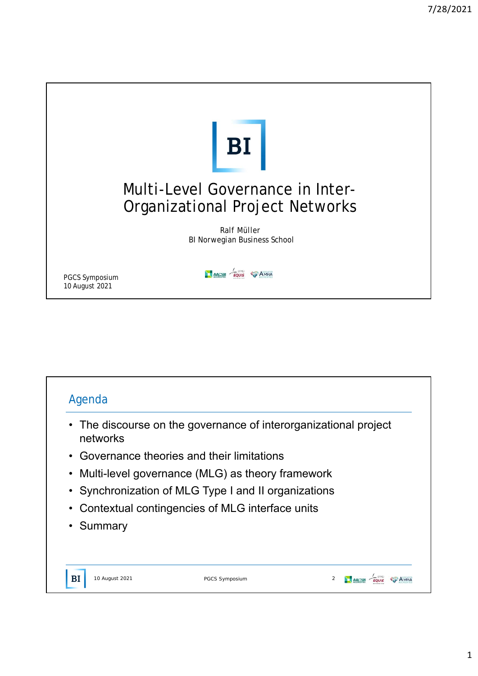

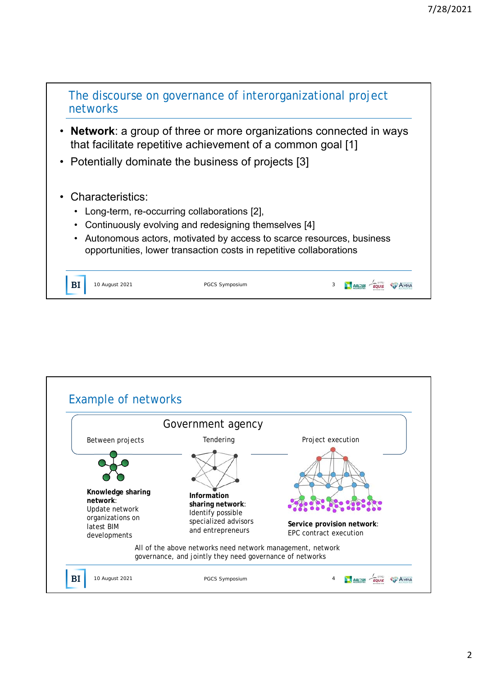

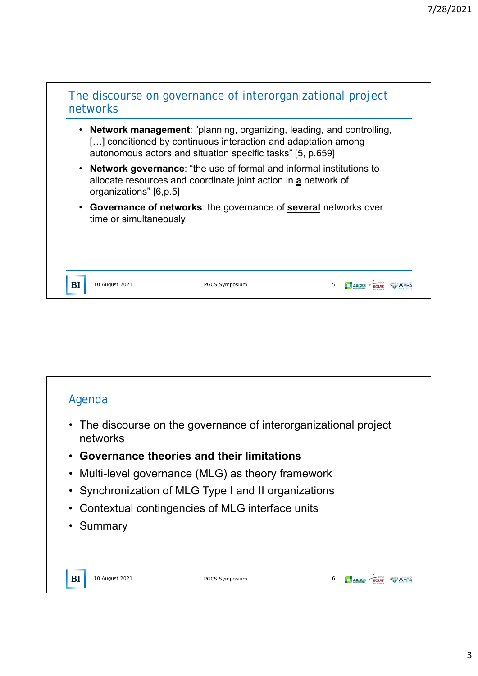## The discourse on governance of interorganizational project networks

- **Network management**: "planning, organizing, leading, and controlling, [...] conditioned by continuous interaction and adaptation among autonomous actors and situation specific tasks" [5, p.659]
- **Network governance**: "the use of formal and informal institutions to allocate resources and coordinate joint action in **a** network of organizations" [6,p.5]
- **Governance of networks**: the governance of **several** networks over time or simultaneously

 $BI$ 

10 August 2021 **PGCS Symposium** PGCS Symposium 5 **1 AACSB** 

| networks  | • The discourse on the governance of interorganizational project |  |
|-----------|------------------------------------------------------------------|--|
|           | • Governance theories and their limitations                      |  |
|           | • Multi-level governance (MLG) as theory framework               |  |
|           | • Synchronization of MLG Type I and II organizations             |  |
|           | • Contextual contingencies of MLG interface units                |  |
| • Summary |                                                                  |  |
|           |                                                                  |  |
|           |                                                                  |  |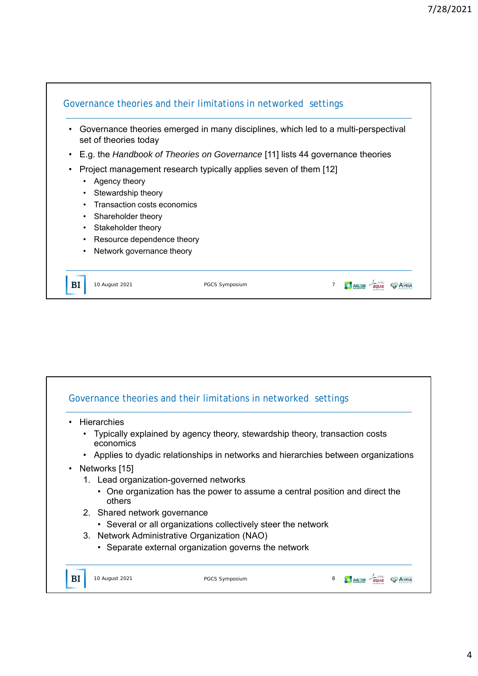

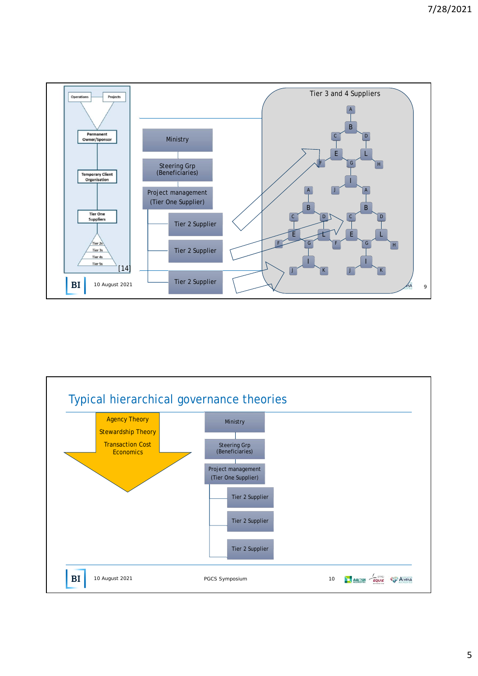

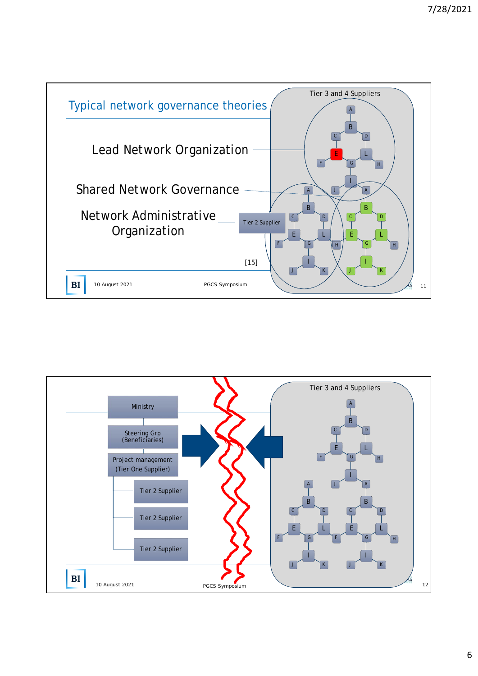

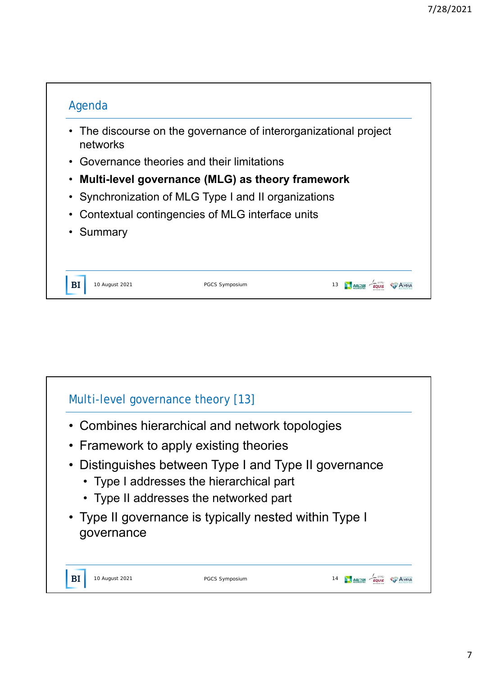

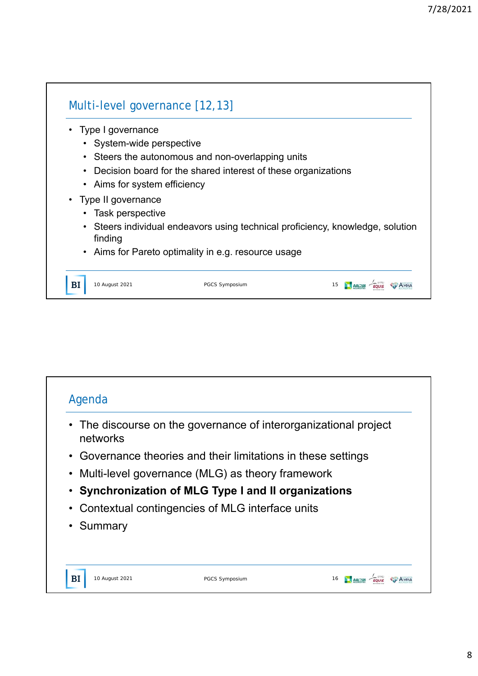٦

| Type I governance            |                                                                                |  |
|------------------------------|--------------------------------------------------------------------------------|--|
| • System-wide perspective    |                                                                                |  |
|                              | • Steers the autonomous and non-overlapping units                              |  |
|                              | • Decision board for the shared interest of these organizations                |  |
| • Aims for system efficiency |                                                                                |  |
| • Type II governance         |                                                                                |  |
| Task perspective             |                                                                                |  |
| finding                      | • Steers individual endeavors using technical proficiency, knowledge, solution |  |
|                              | • Aims for Pareto optimality in e.g. resource usage                            |  |
|                              |                                                                                |  |

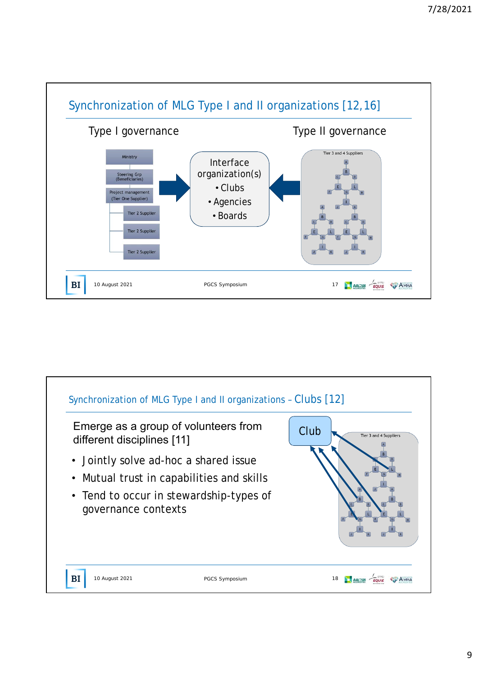

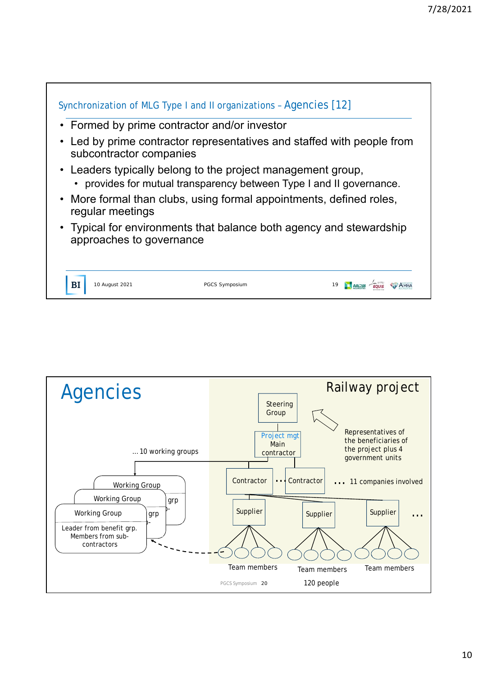

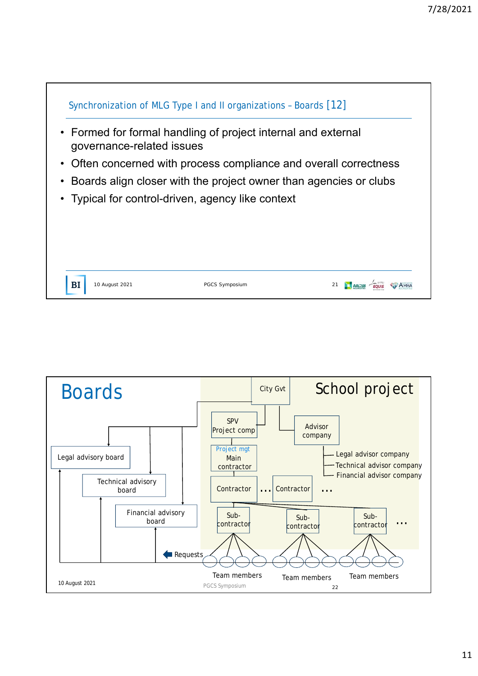

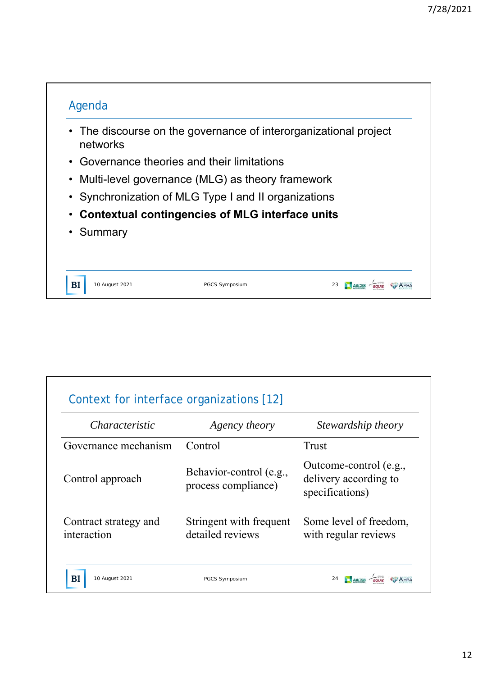

| <i>Characteristic</i>                | Agency theory                                  | Stewardship theory                                                 |  |
|--------------------------------------|------------------------------------------------|--------------------------------------------------------------------|--|
| Governance mechanism                 | Control                                        | <b>Trust</b>                                                       |  |
| Control approach                     | Behavior-control (e.g.,<br>process compliance) | Outcome-control (e.g.,<br>delivery according to<br>specifications) |  |
| Contract strategy and<br>interaction | Stringent with frequent<br>detailed reviews    | Some level of freedom,<br>with regular reviews                     |  |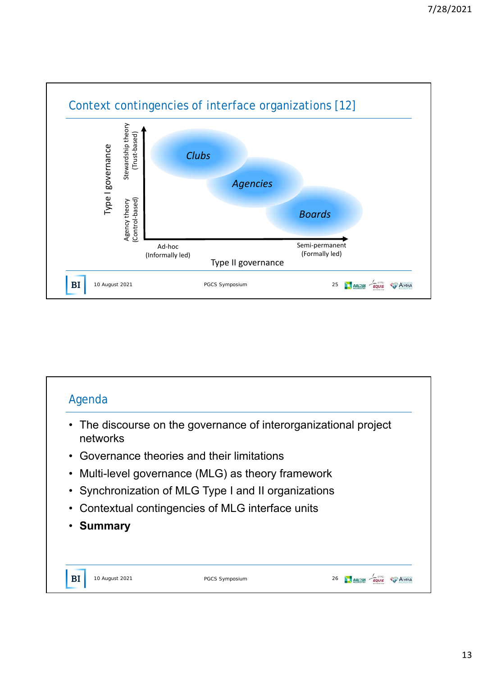

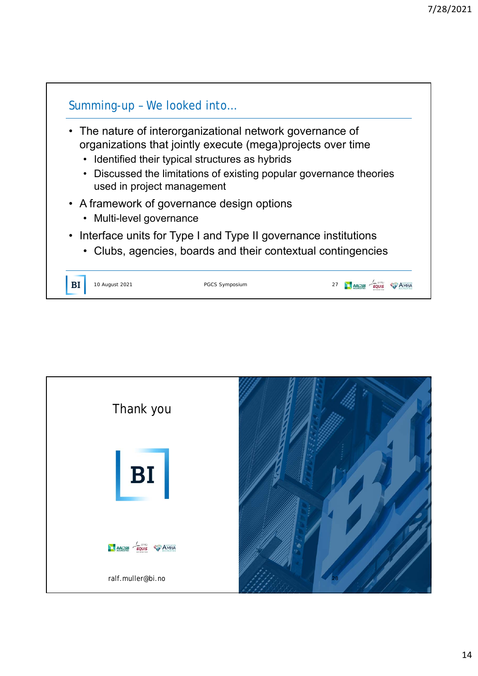

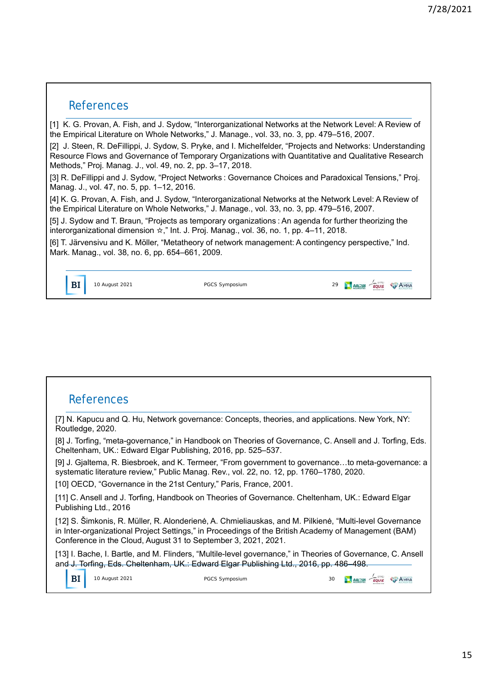## References

[1] K. G. Provan, A. Fish, and J. Sydow, "Interorganizational Networks at the Network Level: A Review of the Empirical Literature on Whole Networks," J. Manage., vol. 33, no. 3, pp. 479–516, 2007.

[2] J. Steen, R. DeFillippi, J. Sydow, S. Pryke, and I. Michelfelder, "Projects and Networks: Understanding Resource Flows and Governance of Temporary Organizations with Quantitative and Qualitative Research Methods," Proj. Manag. J., vol. 49, no. 2, pp. 3–17, 2018.

[3] R. DeFillippi and J. Sydow, "Project Networks : Governance Choices and Paradoxical Tensions," Proj. Manag. J., vol. 47, no. 5, pp. 1–12, 2016.

[4] K. G. Provan, A. Fish, and J. Sydow, "Interorganizational Networks at the Network Level: A Review of the Empirical Literature on Whole Networks," J. Manage., vol. 33, no. 3, pp. 479–516, 2007.

[5] J. Sydow and T. Braun, "Projects as temporary organizations : An agenda for further theorizing the interorganizational dimension ☆," Int. J. Proj. Manag., vol. 36, no. 1, pp. 4–11, 2018.

[6] T. Järvensivu and K. Möller, "Metatheory of network management: A contingency perspective," Ind. Mark. Manag., vol. 38, no. 6, pp. 654–661, 2009.

## References

[7] N. Kapucu and Q. Hu, Network governance: Concepts, theories, and applications. New York, NY: Routledge, 2020.

[8] J. Torfing, "meta-governance," in Handbook on Theories of Governance, C. Ansell and J. Torfing, Eds. Cheltenham, UK.: Edward Elgar Publishing, 2016, pp. 525–537.

[9] J. Gjaltema, R. Biesbroek, and K. Termeer, "From government to governance…to meta-governance: a systematic literature review," Public Manag. Rev., vol. 22, no. 12, pp. 1760–1780, 2020.

[10] OECD, "Governance in the 21st Century," Paris, France, 2001.

[11] C. Ansell and J. Torfing, Handbook on Theories of Governance. Cheltenham, UK.: Edward Elgar Publishing Ltd., 2016

[12] S. Šimkonis, R. Müller, R. Alonderienė, A. Chmieliauskas, and M. Pilkienė, "Multi-level Governance in Inter-organizational Project Settings," in Proceedings of the British Academy of Management (BAM) Conference in the Cloud, August 31 to September 3, 2021, 2021.

[13] I. Bache, I. Bartle, and M. Flinders, "Multile-level governance," in Theories of Governance, C. Ansell and J. Torfing, Eds. Cheltenham, UK.: Edward Elgar Publishing Ltd., 2016, pp. 486–498.

| BI | 2021<br><b>CHILE'S</b><br>. <u>.</u> . | osium.<br>. | 30 | EQUIS | AMBA |
|----|----------------------------------------|-------------|----|-------|------|
|    |                                        |             |    |       |      |